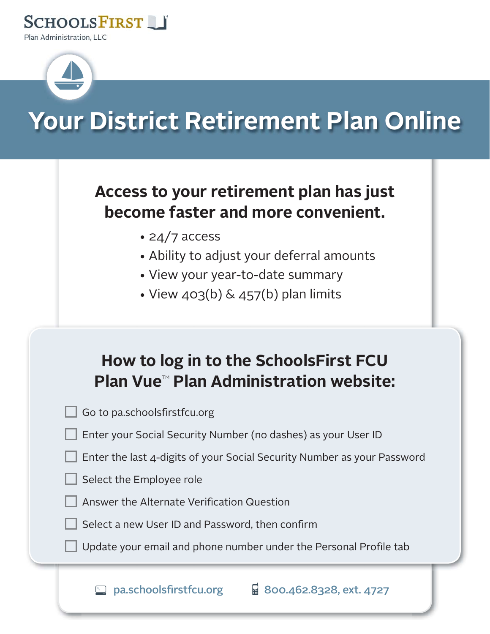



# Your District Retirement Plan Online

## Access to your retirement plan has just become faster and more convenient.

- $\cdot$  24/7 access
- Ability to adjust your deferral amounts
- View your year-to-date summary
- View  $403(b)$  &  $457(b)$  plan limits

# How to log in to the SchoolsFirst FCU Plan Vue<sup>™</sup> Plan Administration website:

Go to pa.schoolsfirstfcu.org

Enter your Social Security Number (no dashes) as your User ID

Enter the last 4-digits of your Social Security Number as your Password

Select the Employee role

Answer the Alternate Verification Question

Select a new User ID and Password, then confirm

Update your email and phone number under the Personal Profile tab

 $\overline{H}$  800.462.8328, ext. 4727  $\Box$  pa.schoolsfirstfcu.org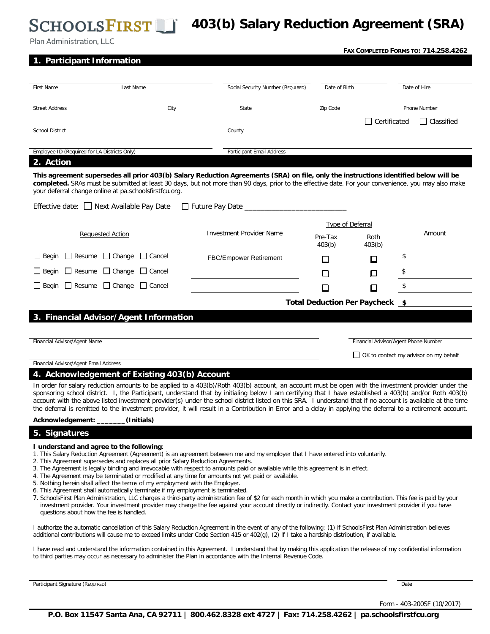### **403(b) Salary Reduction Agreement (SRA)**

| Plan Administration, LLC                                                                            |                                           |  |                                                                                                                                                                                                                                                                                                                         |                   |                                       |              | FAX COMPLETED FORMS TO: 714.258.4262 |
|-----------------------------------------------------------------------------------------------------|-------------------------------------------|--|-------------------------------------------------------------------------------------------------------------------------------------------------------------------------------------------------------------------------------------------------------------------------------------------------------------------------|-------------------|---------------------------------------|--------------|--------------------------------------|
| 1. Participant Information                                                                          |                                           |  |                                                                                                                                                                                                                                                                                                                         |                   |                                       |              |                                      |
|                                                                                                     |                                           |  |                                                                                                                                                                                                                                                                                                                         |                   |                                       |              |                                      |
| First Name                                                                                          | Last Name                                 |  | Social Security Number (REQUIRED)                                                                                                                                                                                                                                                                                       | Date of Birth     |                                       | Date of Hire |                                      |
| City<br><b>Street Address</b>                                                                       |                                           |  | State                                                                                                                                                                                                                                                                                                                   | Zip Code          |                                       | Phone Number |                                      |
|                                                                                                     |                                           |  |                                                                                                                                                                                                                                                                                                                         |                   | $\Box$ Certificated                   |              | $\Box$ Classified                    |
| <b>School District</b>                                                                              |                                           |  | County                                                                                                                                                                                                                                                                                                                  |                   |                                       |              |                                      |
| Employee ID (Required for LA Districts Only)                                                        |                                           |  | <b>Participant Email Address</b>                                                                                                                                                                                                                                                                                        |                   |                                       |              |                                      |
| 2. Action                                                                                           |                                           |  |                                                                                                                                                                                                                                                                                                                         |                   |                                       |              |                                      |
| your deferral change online at pa.schoolsfirstfcu.org.<br>Effective date: □ Next Available Pay Date |                                           |  | This agreement supersedes all prior 403(b) Salary Reduction Agreements (SRA) on file, only the instructions identified below will be<br>completed. SRAs must be submitted at least 30 days, but not more than 90 days, prior to the effective date. For your convenience, you may also make<br>□ Future Pay Date ______ |                   |                                       |              |                                      |
|                                                                                                     |                                           |  |                                                                                                                                                                                                                                                                                                                         |                   | Type of Deferral                      |              |                                      |
| <b>Requested Action</b>                                                                             |                                           |  | <b>Investment Provider Name</b>                                                                                                                                                                                                                                                                                         | Pre-Tax<br>403(b) | Roth<br>403(b)                        |              | Amount                               |
| $\Box$ Begin                                                                                        | $\Box$ Resume $\Box$ Change $\Box$ Cancel |  | <b>FBC/Empower Retirement</b>                                                                                                                                                                                                                                                                                           | $\mathsf{L}$      | □                                     | \$           |                                      |
| $\Box$ Resume $\Box$ Change<br>$\Box$ Begin                                                         | $\Box$ Cancel                             |  |                                                                                                                                                                                                                                                                                                                         |                   | □                                     | \$           |                                      |
| $\Box$ Begin                                                                                        | $\Box$ Resume $\Box$ Change $\Box$ Cancel |  |                                                                                                                                                                                                                                                                                                                         |                   | $\Box$                                | \$           |                                      |
|                                                                                                     |                                           |  |                                                                                                                                                                                                                                                                                                                         |                   | Total Deduction Per Paycheck \$       |              |                                      |
| 3. Financial Advisor/Agent Information                                                              |                                           |  |                                                                                                                                                                                                                                                                                                                         |                   |                                       |              |                                      |
|                                                                                                     |                                           |  |                                                                                                                                                                                                                                                                                                                         |                   |                                       |              |                                      |
| Financial Advisor/Agent Name                                                                        |                                           |  |                                                                                                                                                                                                                                                                                                                         |                   | Financial Advisor/Agent Phone Number  |              |                                      |
| Financial Advisor/Agent Email Address                                                               |                                           |  |                                                                                                                                                                                                                                                                                                                         |                   | OK to contact my advisor on my behalf |              |                                      |

### **4. Acknowledgement of Existing 403(b) Account**

In order for salary reduction amounts to be applied to a 403(b)/Roth 403(b) account, an account must be open with the investment provider under the sponsoring school district. I, the Participant, understand that by initialing below I am certifying that I have established a 403(b) and/or Roth 403(b) account with the above listed investment provider(s) under the school district listed on this SRA. I understand that if no account is available at the time the deferral is remitted to the investment provider, it will result in a Contribution in Error and a delay in applying the deferral to a retirement account.

#### **Acknowledgement: \_\_\_\_\_\_\_(Initials)**

### **5. Signatures**

#### **I understand and agree to the following**:

- 1. This Salary Reduction Agreement (Agreement) is an agreement between me and my employer that I have entered into voluntarily.
- 2. This Agreement supersedes and replaces all prior Salary Reduction Agreements.
- 3. The Agreement is legally binding and irrevocable with respect to amounts paid or available while this agreement is in effect.
- 4. The Agreement may be terminated or modified at any time for amounts not yet paid or available.
- 5. Nothing herein shall affect the terms of my employment with the Employer.
- 6. This Agreement shall automatically terminate if my employment is terminated.
- 7. SchoolsFirst Plan Administration, LLC charges a third-party administration fee of \$2 for each month in which you make a contribution. This fee is paid by your investment provider. Your investment provider may charge the fee against your account directly or indirectly. Contact your investment provider if you have questions about how the fee is handled.

I authorize the automatic cancellation of this Salary Reduction Agreement in the event of any of the following: (1) if SchoolsFirst Plan Administration believes additional contributions will cause me to exceed limits under Code Section 415 or 402(g), (2) if I take a hardship distribution, if available.

I have read and understand the information contained in this Agreement. I understand that by making this application the release of my confidential information to third parties may occur as necessary to administer the Plan in accordance with the Internal Revenue Code.

Participant Signature (REQUIRED) Date

Form - 403-200SF (10/2017)